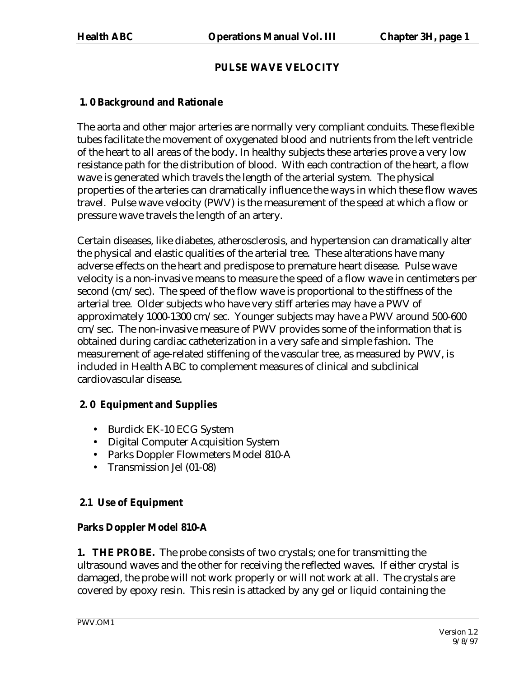# **PULSE WAVE VELOCITY**

# **1. 0 Background and Rationale**

The aorta and other major arteries are normally very compliant conduits. These flexible tubes facilitate the movement of oxygenated blood and nutrients from the left ventricle of the heart to all areas of the body. In healthy subjects these arteries prove a very low resistance path for the distribution of blood. With each contraction of the heart, a flow wave is generated which travels the length of the arterial system. The physical properties of the arteries can dramatically influence the ways in which these flow waves travel. Pulse wave velocity (PWV) is the measurement of the speed at which a flow or pressure wave travels the length of an artery.

Certain diseases, like diabetes, atherosclerosis, and hypertension can dramatically alter the physical and elastic qualities of the arterial tree. These alterations have many adverse effects on the heart and predispose to premature heart disease. Pulse wave velocity is a non-invasive means to measure the speed of a flow wave in centimeters per second (cm/sec). The speed of the flow wave is proportional to the stiffness of the arterial tree. Older subjects who have very stiff arteries may have a PWV of approximately 1000-1300 cm/sec. Younger subjects may have a PWV around 500-600 cm/sec. The non-invasive measure of PWV provides some of the information that is obtained during cardiac catheterization in a very safe and simple fashion. The measurement of age-related stiffening of the vascular tree, as measured by PWV, is included in Health ABC to complement measures of clinical and subclinical cardiovascular disease.

### **2. 0 Equipment and Supplies**

- Burdick EK-10 ECG System
- Digital Computer Acquisition System
- Parks Doppler Flowmeters Model 810-A
- Transmission Jel (01-08)

# **2.1 Use of Equipment**

# **Parks Doppler Model 810-A**

**1. THE PROBE.** The probe consists of two crystals; one for transmitting the ultrasound waves and the other for receiving the reflected waves. If either crystal is damaged, the probe will not work properly or will not work at all. The crystals are covered by epoxy resin. This resin is attacked by any gel or liquid containing the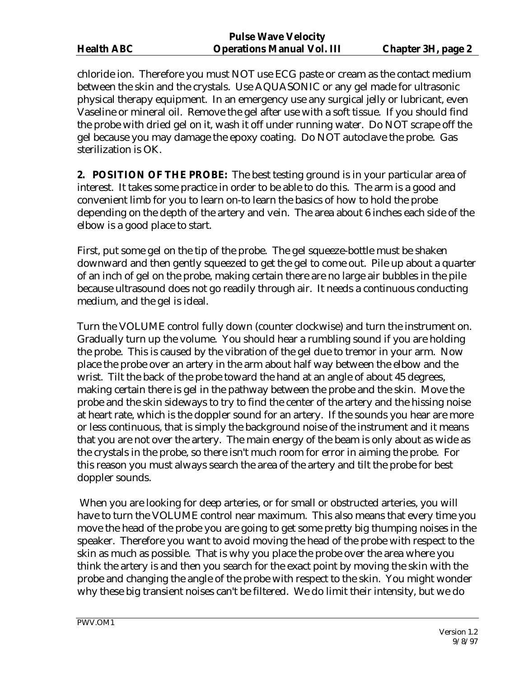|                   | L UISC VYAVC V CIULILY            |                           |
|-------------------|-----------------------------------|---------------------------|
| <b>Health ABC</b> | <b>Operations Manual Vol. III</b> | <b>Chapter 3H, page 2</b> |

chloride ion. Therefore you must NOT use ECG paste or cream as the contact medium between the skin and the crystals. Use AQUASONIC or any gel made for ultrasonic physical therapy equipment. In an emergency use any surgical jelly or lubricant, even Vaseline or mineral oil. Remove the gel after use with a soft tissue. If you should find the probe with dried gel on it, wash it off under running water. Do NOT scrape off the gel because you may damage the epoxy coating. Do NOT autoclave the probe. Gas sterilization is OK.

**2. POSITION OF THE PROBE:** The best testing ground is in your particular area of interest. It takes some practice in order to be able to do this. The arm is a good and convenient limb for you to learn on-to learn the basics of how to hold the probe depending on the depth of the artery and vein. The area about 6 inches each side of the elbow is a good place to start.

First, put some gel on the tip of the probe. The gel squeeze-bottle must be shaken downward and then gently squeezed to get the gel to come out. Pile up about a quarter of an inch of gel on the probe, making certain there are no large air bubbles in the pile because ultrasound does not go readily through air. It needs a continuous conducting medium, and the gel is ideal.

Turn the VOLUME control fully down (counter clockwise) and turn the instrument on. Gradually turn up the volume. You should hear a rumbling sound if you are holding the probe. This is caused by the vibration of the gel due to tremor in your arm. Now place the probe over an artery in the arm about half way between the elbow and the wrist. Tilt the back of the probe toward the hand at an angle of about 45 degrees, making certain there is gel in the pathway between the probe and the skin. Move the probe and the skin sideways to try to find the center of the artery and the hissing noise at heart rate, which is the doppler sound for an artery. If the sounds you hear are more or less continuous, that is simply the background noise of the instrument and it means that you are not over the artery. The main energy of the beam is only about as wide as the crystals in the probe, so there isn't much room for error in aiming the probe. For this reason you must always search the area of the artery and tilt the probe for best doppler sounds.

 When you are looking for deep arteries, or for small or obstructed arteries, you will have to turn the VOLUME control near maximum. This also means that every time you move the head of the probe you are going to get some pretty big thumping noises in the speaker. Therefore you want to avoid moving the head of the probe with respect to the skin as much as possible. That is why you place the probe over the area where you think the artery is and then you search for the exact point by moving the skin with the probe and changing the angle of the probe with respect to the skin. You might wonder why these big transient noises can't be filtered. We do limit their intensity, but we do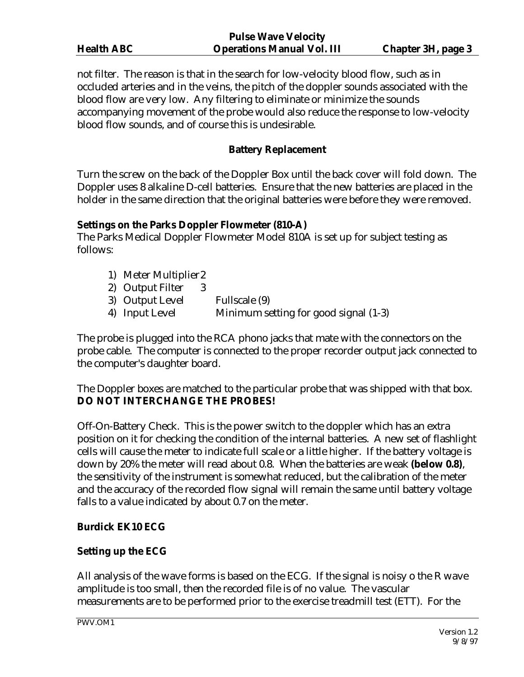|                   | <b>Pulse Wave Velocity</b>        |                           |
|-------------------|-----------------------------------|---------------------------|
| <b>Health ABC</b> | <b>Operations Manual Vol. III</b> | <b>Chapter 3H, page 3</b> |

not filter. The reason is that in the search for low-velocity blood flow, such as in occluded arteries and in the veins, the pitch of the doppler sounds associated with the blood flow are very low. Any filtering to eliminate or minimize the sounds accompanying movement of the probe would also reduce the response to low-velocity blood flow sounds, and of course this is undesirable.

# **Battery Replacement**

Turn the screw on the back of the Doppler Box until the back cover will fold down. The Doppler uses 8 alkaline D-cell batteries. Ensure that the new batteries are placed in the holder in the same direction that the original batteries were before they were removed.

### **Settings on the Parks Doppler Flowmeter (810-A)**

The Parks Medical Doppler Flowmeter Model 810A is set up for subject testing as follows:

- 1) Meter Multiplier 2
- 2) Output Filter 3
- 3) Output Level Fullscale (9)
- 4) Input Level Minimum setting for good signal (1-3)

The probe is plugged into the RCA phono jacks that mate with the connectors on the probe cable. The computer is connected to the proper recorder output jack connected to the computer's daughter board.

The Doppler boxes are matched to the particular probe that was shipped with that box. **DO NOT INTERCHANGE THE PROBES!**

Off-On-Battery Check. This is the power switch to the doppler which has an extra position on it for checking the condition of the internal batteries. A new set of flashlight cells will cause the meter to indicate full scale or a little higher. If the battery voltage is down by 20% the meter will read about 0.8. When the batteries are weak **(below 0.8)**, the sensitivity of the instrument is somewhat reduced, but the calibration of the meter and the accuracy of the recorded flow signal will remain the same until battery voltage falls to a value indicated by about 0.7 on the meter.

### **Burdick EK10 ECG**

# **Setting up the ECG**

All analysis of the wave forms is based on the ECG. If the signal is noisy o the R wave amplitude is too small, then the recorded file is of no value. The vascular measurements are to be performed prior to the exercise treadmill test (ETT). For the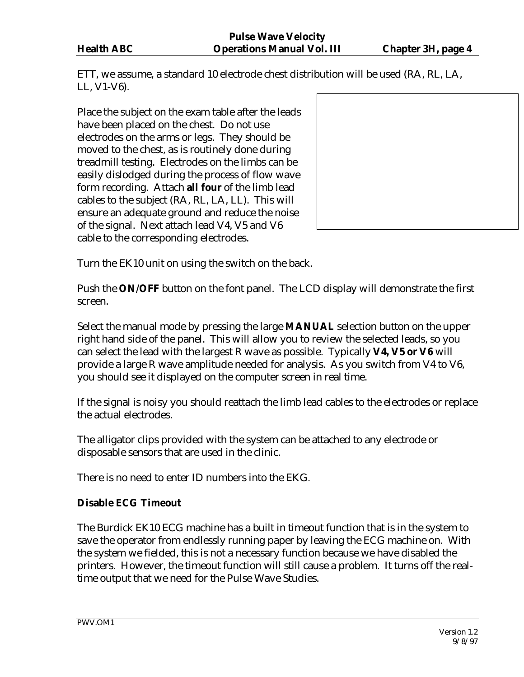ETT, we assume, a standard 10 electrode chest distribution will be used (RA, RL, LA, LL, V1-V6).

Place the subject on the exam table after the leads have been placed on the chest. Do not use electrodes on the arms or legs. They should be moved to the chest, as is routinely done during treadmill testing. Electrodes on the limbs can be easily dislodged during the process of flow wave form recording. Attach **all four** of the limb lead cables to the subject (RA, RL, LA, LL). This will ensure an adequate ground and reduce the noise of the signal. Next attach lead V4, V5 and V6 cable to the corresponding electrodes.

Turn the EK10 unit on using the switch on the back.

Push the **ON/OFF** button on the font panel. The LCD display will demonstrate the first screen.

Select the manual mode by pressing the large **MANUAL** selection button on the upper right hand side of the panel. This will allow you to review the selected leads, so you can select the lead with the largest R wave as possible. Typically **V4, V5 or V6** will provide a large R wave amplitude needed for analysis. As you switch from V4 to V6, you should see it displayed on the computer screen in real time.

If the signal is noisy you should reattach the limb lead cables to the electrodes or replace the actual electrodes.

The alligator clips provided with the system can be attached to any electrode or disposable sensors that are used in the clinic.

There is no need to enter ID numbers into the EKG.

### **Disable ECG Timeout**

The Burdick EK10 ECG machine has a built in timeout function that is in the system to save the operator from endlessly running paper by leaving the ECG machine on. With the system we fielded, this is not a necessary function because we have disabled the printers. However, the timeout function will still cause a problem. It turns off the realtime output that we need for the Pulse Wave Studies.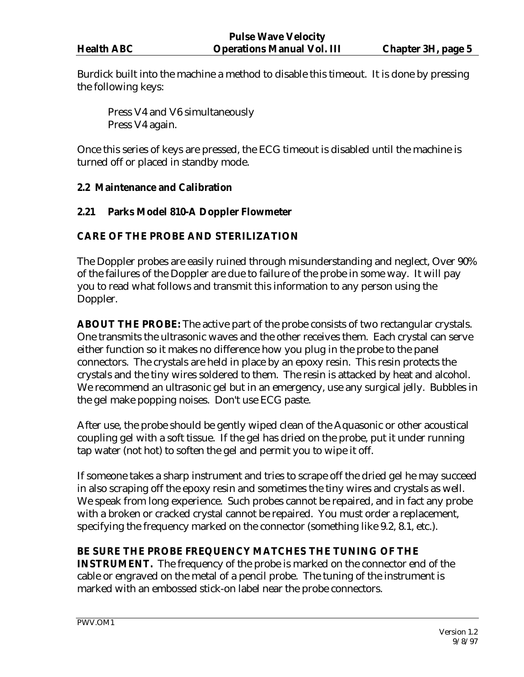Burdick built into the machine a method to disable this timeout. It is done by pressing the following keys:

Press V4 and V6 simultaneously Press V4 again.

Once this series of keys are pressed, the ECG timeout is disabled until the machine is turned off or placed in standby mode.

### **2.2 Maintenance and Calibration**

### **2.21 Parks Model 810-A Doppler Flowmeter**

### **CARE OF THE PROBE AND STERILIZATION**

The Doppler probes are easily ruined through misunderstanding and neglect, Over 90% of the failures of the Doppler are due to failure of the probe in some way. It will pay you to read what follows and transmit this information to any person using the Doppler.

**ABOUT THE PROBE:** The active part of the probe consists of two rectangular crystals. One transmits the ultrasonic waves and the other receives them. Each crystal can serve either function so it makes no difference how you plug in the probe to the panel connectors. The crystals are held in place by an epoxy resin. This resin protects the crystals and the tiny wires soldered to them. The resin is attacked by heat and alcohol. We recommend an ultrasonic gel but in an emergency, use any surgical jelly. Bubbles in the gel make popping noises. Don't use ECG paste.

After use, the probe should be gently wiped clean of the Aquasonic or other acoustical coupling gel with a soft tissue. If the gel has dried on the probe, put it under running tap water (not hot) to soften the gel and permit you to wipe it off.

If someone takes a sharp instrument and tries to scrape off the dried gel he may succeed in also scraping off the epoxy resin and sometimes the tiny wires and crystals as well. We speak from long experience. Such probes cannot be repaired, and in fact any probe with a broken or cracked crystal cannot be repaired. You must order a replacement, specifying the frequency marked on the connector (something like 9.2, 8.1, etc.).

### **BE SURE THE PROBE FREQUENCY MATCHES THE TUNING OF THE**

**INSTRUMENT.** The frequency of the probe is marked on the connector end of the cable or engraved on the metal of a pencil probe. The tuning of the instrument is marked with an embossed stick-on label near the probe connectors.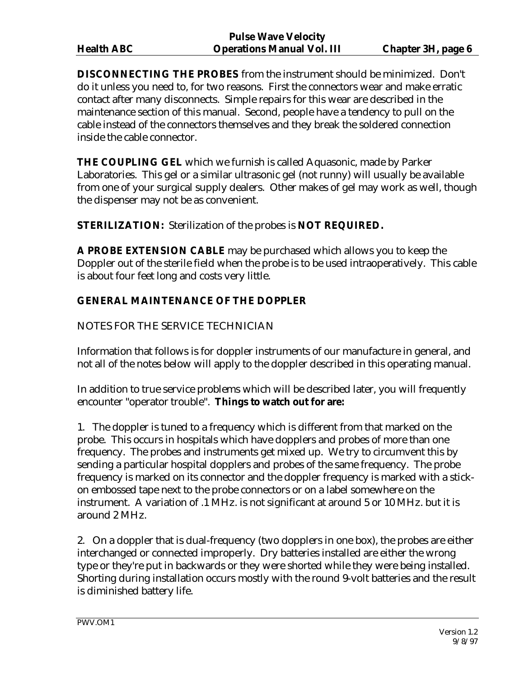**DISCONNECTING THE PROBES** from the instrument should be minimized. Don't do it unless you need to, for two reasons. First the connectors wear and make erratic contact after many disconnects. Simple repairs for this wear are described in the maintenance section of this manual. Second, people have a tendency to pull on the cable instead of the connectors themselves and they break the soldered connection inside the cable connector.

**THE COUPLING GEL** which we furnish is called Aquasonic, made by Parker Laboratories. This gel or a similar ultrasonic gel (not runny) will usually be available from one of your surgical supply dealers. Other makes of gel may work as well, though the dispenser may not be as convenient.

**STERILIZATION:** Sterilization of the probes is **NOT REQUIRED.**

**A PROBE EXTENSION CABLE** may be purchased which allows you to keep the Doppler out of the sterile field when the probe is to be used intraoperatively. This cable is about four feet long and costs very little.

### **GENERAL MAINTENANCE OF THE DOPPLER**

### NOTES FOR THE SERVICE TECHNICIAN

Information that follows is for doppler instruments of our manufacture in general, and not all of the notes below will apply to the doppler described in this operating manual.

In addition to true service problems which will be described later, you will frequently encounter "operator trouble". **Things to watch out for are:**

1. The doppler is tuned to a frequency which is different from that marked on the probe. This occurs in hospitals which have dopplers and probes of more than one frequency. The probes and instruments get mixed up. We try to circumvent this by sending a particular hospital dopplers and probes of the same frequency. The probe frequency is marked on its connector and the doppler frequency is marked with a stickon embossed tape next to the probe connectors or on a label somewhere on the instrument. A variation of .1 MHz. is not significant at around 5 or 10 MHz. but it is around 2 MHz.

2. On a doppler that is dual-frequency (two dopplers in one box), the probes are either interchanged or connected improperly. Dry batteries installed are either the wrong type or they're put in backwards or they were shorted while they were being installed. Shorting during installation occurs mostly with the round 9-volt batteries and the result is diminished battery life.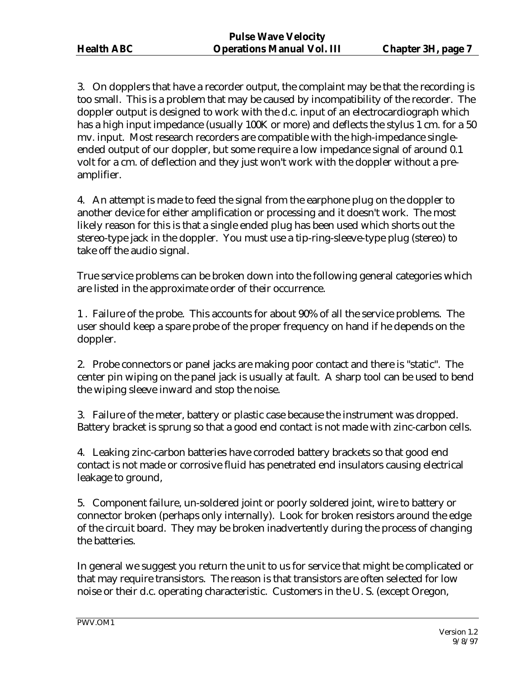3. On dopplers that have a recorder output, the complaint may be that the recording is too small. This is a problem that may be caused by incompatibility of the recorder. The doppler output is designed to work with the d.c. input of an electrocardiograph which has a high input impedance (usually 100K or more) and deflects the stylus 1 cm. for a 50 mv. input. Most research recorders are compatible with the high-impedance singleended output of our doppler, but some require a low impedance signal of around 0.1 volt for a cm. of deflection and they just won't work with the doppler without a preamplifier.

4. An attempt is made to feed the signal from the earphone plug on the doppler to another device for either amplification or processing and it doesn't work. The most likely reason for this is that a single ended plug has been used which shorts out the stereo-type jack in the doppler. You must use a tip-ring-sleeve-type plug (stereo) to take off the audio signal.

True service problems can be broken down into the following general categories which are listed in the approximate order of their occurrence.

1 . Failure of the probe. This accounts for about 90% of all the service problems. The user should keep a spare probe of the proper frequency on hand if he depends on the doppler.

2. Probe connectors or panel jacks are making poor contact and there is "static". The center pin wiping on the panel jack is usually at fault. A sharp tool can be used to bend the wiping sleeve inward and stop the noise.

3. Failure of the meter, battery or plastic case because the instrument was dropped. Battery bracket is sprung so that a good end contact is not made with zinc-carbon cells.

4. Leaking zinc-carbon batteries have corroded battery brackets so that good end contact is not made or corrosive fluid has penetrated end insulators causing electrical leakage to ground,

5. Component failure, un-soldered joint or poorly soldered joint, wire to battery or connector broken (perhaps only internally). Look for broken resistors around the edge of the circuit board. They may be broken inadvertently during the process of changing the batteries.

In general we suggest you return the unit to us for service that might be complicated or that may require transistors. The reason is that transistors are often selected for low noise or their d.c. operating characteristic. Customers in the U. S. (except Oregon,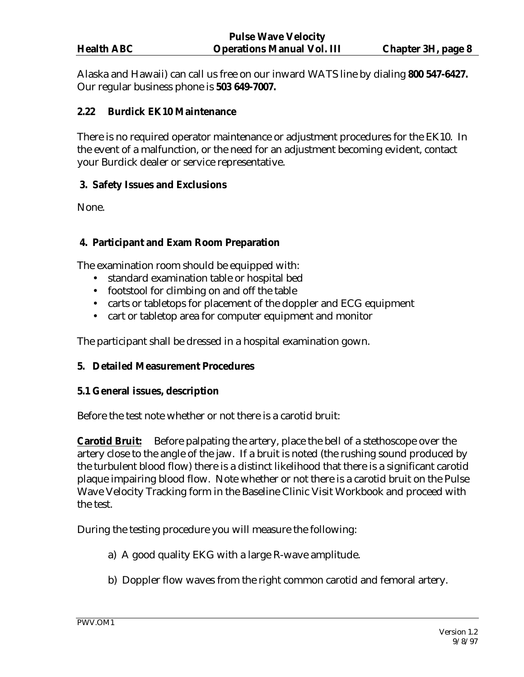Alaska and Hawaii) can call us free on our inward WATS line by dialing **800 547-6427.**  Our regular business phone is **503 649-7007.**

### **2.22 Burdick EK10 Maintenance**

There is no required operator maintenance or adjustment procedures for the EK10. In the event of a malfunction, or the need for an adjustment becoming evident, contact your Burdick dealer or service representative.

### **3. Safety Issues and Exclusions**

None.

### **4. Participant and Exam Room Preparation**

The examination room should be equipped with:

- standard examination table or hospital bed
- footstool for climbing on and off the table
- carts or tabletops for placement of the doppler and ECG equipment
- cart or tabletop area for computer equipment and monitor

The participant shall be dressed in a hospital examination gown.

### **5. Detailed Measurement Procedures**

### **5.1 General issues, description**

Before the test note whether or not there is a carotid bruit:

**Carotid Bruit:** Before palpating the artery, place the bell of a stethoscope over the artery close to the angle of the jaw. If a bruit is noted (the rushing sound produced by the turbulent blood flow) there is a distinct likelihood that there is a significant carotid plaque impairing blood flow. Note whether or not there is a carotid bruit on the Pulse Wave Velocity Tracking form in the Baseline Clinic Visit Workbook and proceed with the test.

During the testing procedure you will measure the following:

- a) A good quality EKG with a large R-wave amplitude.
- b) Doppler flow waves from the right common carotid and femoral artery.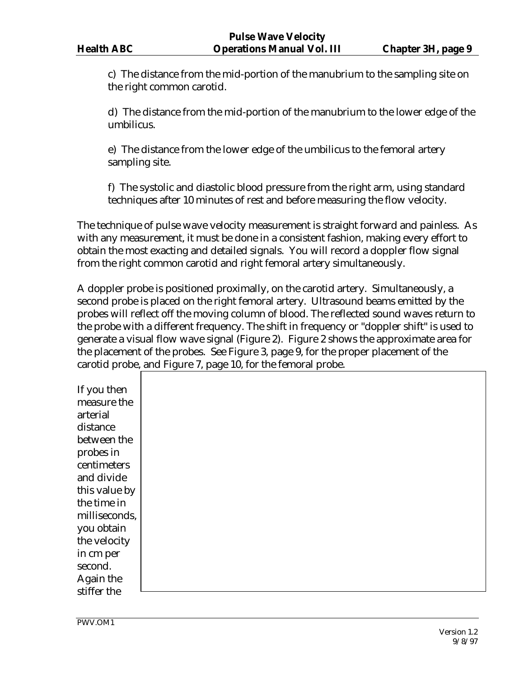c) The distance from the mid-portion of the manubrium to the sampling site on the right common carotid.

d) The distance from the mid-portion of the manubrium to the lower edge of the umbilicus.

e) The distance from the lower edge of the umbilicus to the femoral artery sampling site.

f) The systolic and diastolic blood pressure from the right arm, using standard techniques after 10 minutes of rest and before measuring the flow velocity.

The technique of pulse wave velocity measurement is straight forward and painless. As with any measurement, it must be done in a consistent fashion, making every effort to obtain the most exacting and detailed signals. You will record a doppler flow signal from the right common carotid and right femoral artery simultaneously.

A doppler probe is positioned proximally, on the carotid artery. Simultaneously, a second probe is placed on the right femoral artery. Ultrasound beams emitted by the probes will reflect off the moving column of blood. The reflected sound waves return to the probe with a different frequency. The shift in frequency or "doppler shift" is used to generate a visual flow wave signal (Figure 2). Figure 2 shows the approximate area for the placement of the probes. See Figure 3, page 9, for the proper placement of the carotid probe, and Figure 7, page 10, for the femoral probe.

If you then measure the arterial distance between the probes in centimeters and divide this value by the time in milliseconds, you obtain the velocity in cm per second. Again the stiffer the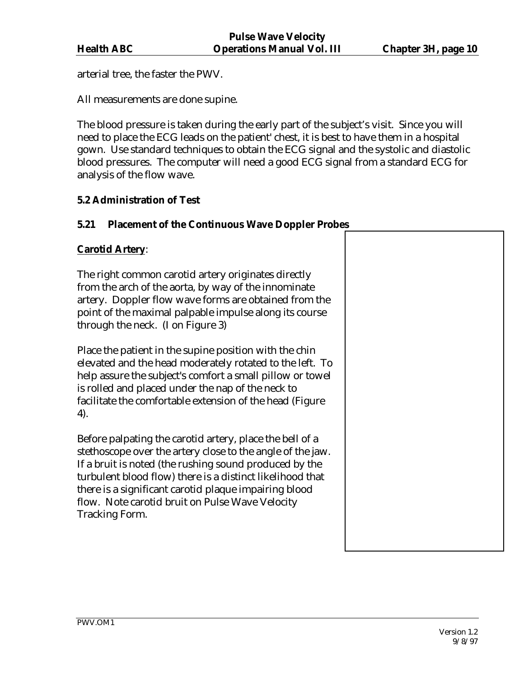arterial tree, the faster the PWV.

All measurements are done supine.

The blood pressure is taken during the early part of the subject's visit. Since you will need to place the ECG leads on the patient' chest, it is best to have them in a hospital gown. Use standard techniques to obtain the ECG signal and the systolic and diastolic blood pressures. The computer will need a good ECG signal from a standard ECG for analysis of the flow wave.

### **5.2 Administration of Test**

### **5.21 Placement of the Continuous Wave Doppler Probes**

# **Carotid Artery**: The right common carotid artery originates directly from the arch of the aorta, by way of the innominate artery. Doppler flow wave forms are obtained from the point of the maximal palpable impulse along its course through the neck. (I on Figure 3) Place the patient in the supine position with the chin elevated and the head moderately rotated to the left. To help assure the subject's comfort a small pillow or towel is rolled and placed under the nap of the neck to facilitate the comfortable extension of the head (Figure 4). Before palpating the carotid artery, place the bell of a stethoscope over the artery close to the angle of the jaw. If a bruit is noted (the rushing sound produced by the turbulent blood flow) there is a distinct likelihood that there is a significant carotid plaque impairing blood flow. Note carotid bruit on Pulse Wave Velocity Tracking Form.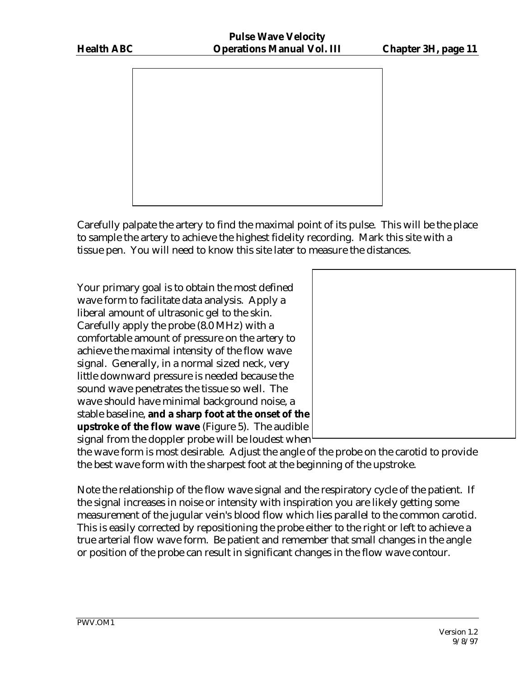

Carefully palpate the artery to find the maximal point of its pulse. This will be the place to sample the artery to achieve the highest fidelity recording. Mark this site with a tissue pen. You will need to know this site later to measure the distances.

Your primary goal is to obtain the most defined wave form to facilitate data analysis. Apply a liberal amount of ultrasonic gel to the skin. Carefully apply the probe (8.0 MHz) with a comfortable amount of pressure on the artery to achieve the maximal intensity of the flow wave signal. Generally, in a normal sized neck, very little downward pressure is needed because the sound wave penetrates the tissue so well. The wave should have minimal background noise, a stable baseline, **and a sharp foot at the onset of the upstroke of the flow wave** (Figure 5). The audible signal from the doppler probe will be loudest when



the wave form is most desirable. Adjust the angle of the probe on the carotid to provide the best wave form with the sharpest foot at the beginning of the upstroke.

Note the relationship of the flow wave signal and the respiratory cycle of the patient. If the signal increases in noise or intensity with inspiration you are likely getting some measurement of the jugular vein's blood flow which lies parallel to the common carotid. This is easily corrected by repositioning the probe either to the right or left to achieve a true arterial flow wave form. Be patient and remember that small changes in the angle or position of the probe can result in significant changes in the flow wave contour.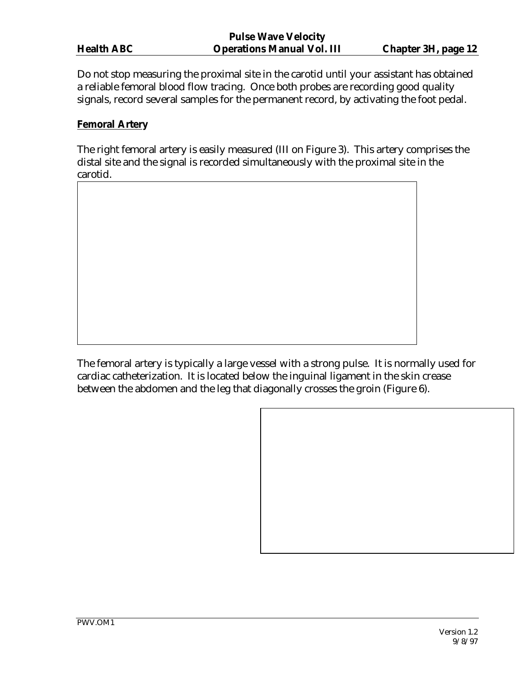|                   | <b>Pulse Wave Velocity</b>        |                            |
|-------------------|-----------------------------------|----------------------------|
| <b>Health ABC</b> | <b>Operations Manual Vol. III</b> | <b>Chapter 3H, page 12</b> |

Do not stop measuring the proximal site in the carotid until your assistant has obtained a reliable femoral blood flow tracing. Once both probes are recording good quality signals, record several samples for the permanent record, by activating the foot pedal.

### **Femoral Artery**

The right femoral artery is easily measured (III on Figure 3). This artery comprises the distal site and the signal is recorded simultaneously with the proximal site in the carotid.

The femoral artery is typically a large vessel with a strong pulse. It is normally used for cardiac catheterization. It is located below the inguinal ligament in the skin crease between the abdomen and the leg that diagonally crosses the groin (Figure 6).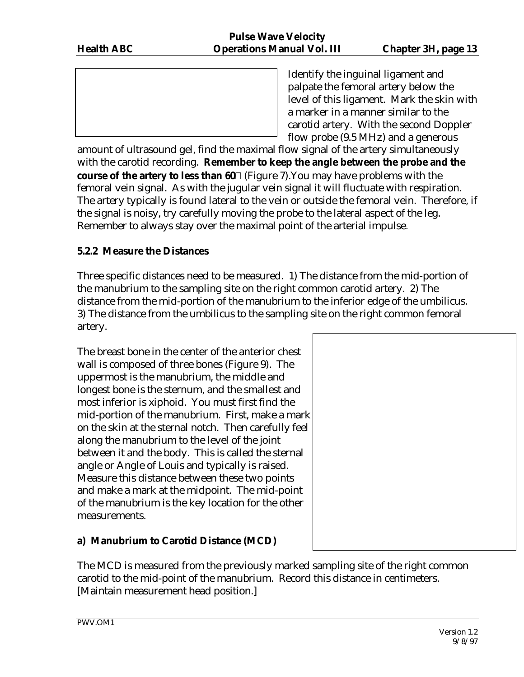Identify the inguinal ligament and palpate the femoral artery below the level of this ligament. Mark the skin with a marker in a manner similar to the carotid artery. With the second Doppler flow probe (9.5 MHz) and a generous

amount of ultrasound gel, find the maximal flow signal of the artery simultaneously with the carotid recording. **Remember to keep the angle between the probe and the course of the artery to less than 60** (Figure 7). You may have problems with the femoral vein signal. As with the jugular vein signal it will fluctuate with respiration. The artery typically is found lateral to the vein or outside the femoral vein. Therefore, if the signal is noisy, try carefully moving the probe to the lateral aspect of the leg. Remember to always stay over the maximal point of the arterial impulse.

# **5.2.2 Measure the Distances**

Three specific distances need to be measured. 1) The distance from the mid-portion of the manubrium to the sampling site on the right common carotid artery. 2) The distance from the mid-portion of the manubrium to the inferior edge of the umbilicus. 3) The distance from the umbilicus to the sampling site on the right common femoral artery.

The breast bone in the center of the anterior chest wall is composed of three bones (Figure 9). The uppermost is the manubrium, the middle and longest bone is the sternum, and the smallest and most inferior is xiphoid. You must first find the mid-portion of the manubrium. First, make a mark on the skin at the sternal notch. Then carefully feel along the manubrium to the level of the joint between it and the body. This is called the sternal angle or Angle of Louis and typically is raised. Measure this distance between these two points and make a mark at the midpoint. The mid-point of the manubrium is the key location for the other measurements.





The MCD is measured from the previously marked sampling site of the right common carotid to the mid-point of the manubrium. Record this distance in centimeters. [Maintain measurement head position.]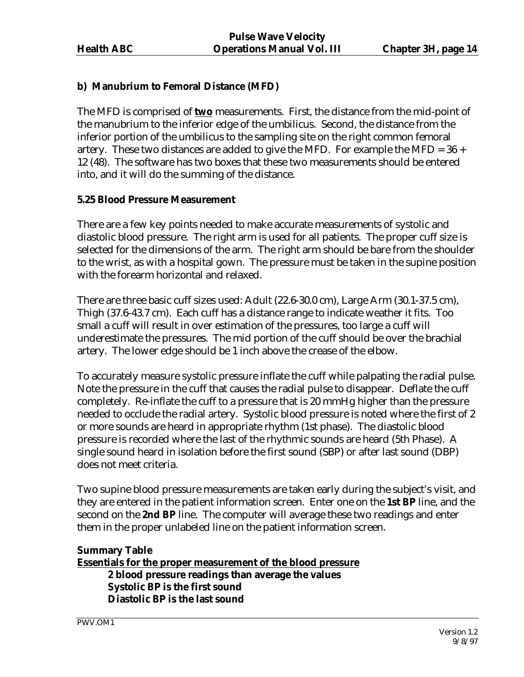### **b) Manubrium to Femoral Distance (MFD)**

The MFD is comprised of **two** measurements. First, the distance from the mid-point of the manubrium to the inferior edge of the umbilicus. Second, the distance from the inferior portion of the umbilicus to the sampling site on the right common femoral artery. These two distances are added to give the MFD. For example the MFD =  $36 +$ 12 (48). The software has two boxes that these two measurements should be entered into, and it will do the summing of the distance.

### **5.25 Blood Pressure Measurement**

There are a few key points needed to make accurate measurements of systolic and diastolic blood pressure. The right arm is used for all patients. The proper cuff size is selected for the dimensions of the arm. The right arm should be bare from the shoulder to the wrist, as with a hospital gown. The pressure must be taken in the supine position with the forearm horizontal and relaxed.

There are three basic cuff sizes used: Adult (22.6-30.0 cm), Large Arm (30.1-37.5 cm), Thigh (37.6-43.7 cm). Each cuff has a distance range to indicate weather it fits. Too small a cuff will result in over estimation of the pressures, too large a cuff will underestimate the pressures. The mid portion of the cuff should be over the brachial artery. The lower edge should be 1 inch above the crease of the elbow.

To accurately measure systolic pressure inflate the cuff while palpating the radial pulse. Note the pressure in the cuff that causes the radial pulse to disappear. Deflate the cuff completely. Re-inflate the cuff to a pressure that is 20 mmHg higher than the pressure needed to occlude the radial artery. Systolic blood pressure is noted where the first of 2 or more sounds are heard in appropriate rhythm (1st phase). The diastolic blood pressure is recorded where the last of the rhythmic sounds are heard (5th Phase). A single sound heard in isolation before the first sound (SBP) or after last sound (DBP) does not meet criteria.

Two supine blood pressure measurements are taken early during the subject's visit, and they are entered in the patient information screen. Enter one on the **1st BP** line, and the second on the **2nd BP** line. The computer will average these two readings and enter them in the proper unlabeled line on the patient information screen.

### **Summary Table Essentials for the proper measurement of the blood pressure 2 blood pressure readings than average the values Systolic BP is the first sound Diastolic BP is the last sound**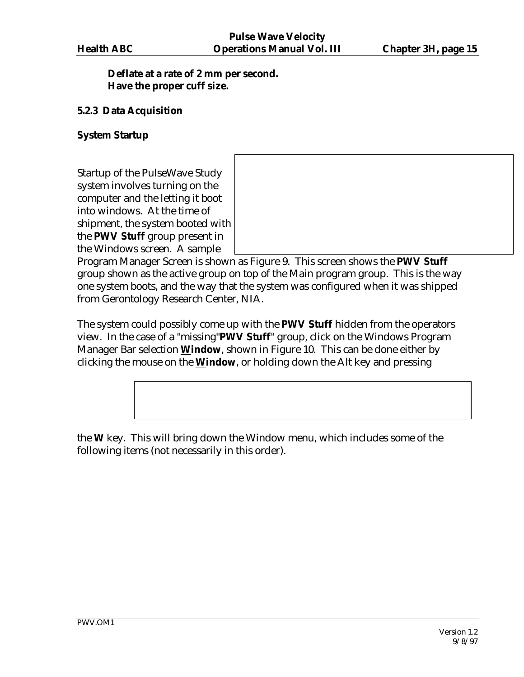### **Deflate at a rate of 2 mm per second. Have the proper cuff size.**

### **5.2.3 Data Acquisition**

### **System Startup**

Startup of the PulseWave Study system involves turning on the computer and the letting it boot into windows. At the time of shipment, the system booted with the **PWV Stuff** group present in the Windows screen. A sample

Program Manager Screen is shown as Figure 9. This screen shows the **PWV Stuff**  group shown as the active group on top of the Main program group. This is the way one system boots, and the way that the system was configured when it was shipped from Gerontology Research Center, NIA.

The system could possibly come up with the **PWV Stuff** hidden from the operators view. In the case of a "missing"**PWV Stuff**" group, click on the Windows Program Manager Bar selection **Window**, shown in Figure 10. This can be done either by clicking the mouse on the **Window**, or holding down the Alt key and pressing

the **W** key. This will bring down the Window menu, which includes some of the following items (not necessarily in this order).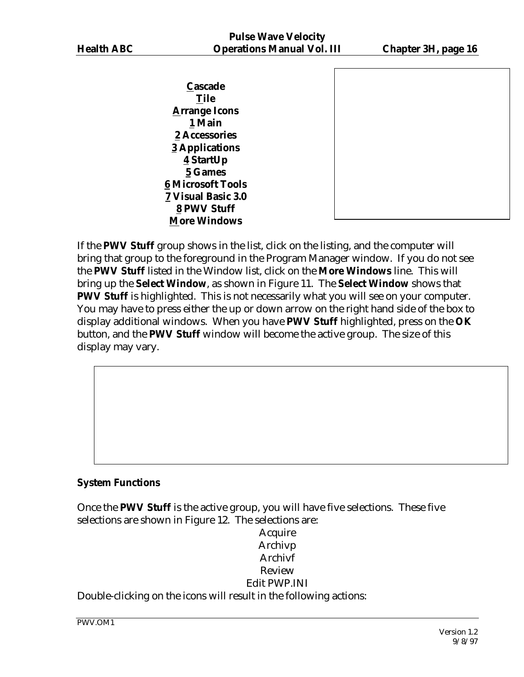**Cascade Tile Arrange Icons 1 Main 2 Accessories 3 Applications 4 StartUp 5 Games 6 Microsoft Tools 7 Visual Basic 3.0 8 PWV Stuff More Windows**



If the **PWV Stuff** group shows in the list, click on the listing, and the computer will bring that group to the foreground in the Program Manager window. If you do not see the **PWV Stuff** listed in the Window list, click on the **More Windows** line. This will bring up the **Select Window**, as shown in Figure 11. The **Select Window** shows that **PWV Stuff** is highlighted. This is not necessarily what you will see on your computer. You may have to press either the up or down arrow on the right hand side of the box to display additional windows. When you have **PWV Stuff** highlighted, press on the **OK**  button, and the **PWV Stuff** window will become the active group. The size of this display may vary.

### **System Functions**

Once the **PWV Stuff** is the active group, you will have five selections. These five selections are shown in Figure 12. The selections are:

### Acquire Archivp Archivf Review Edit PWP.INI Double-clicking on the icons will result in the following actions: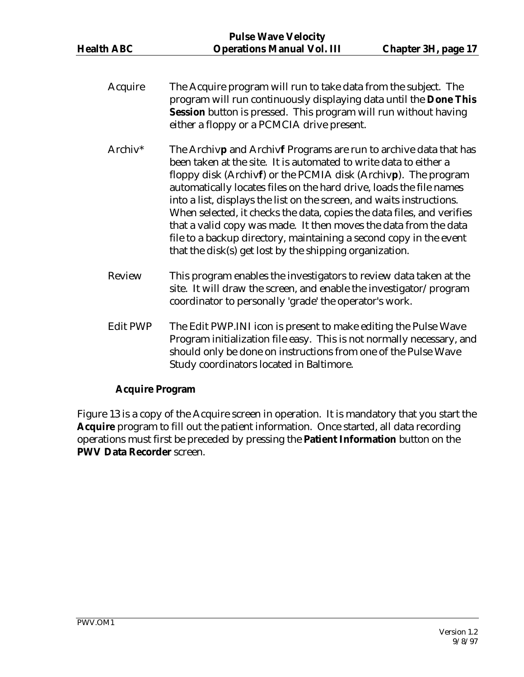- Acquire The Acquire program will run to take data from the subject. The program will run continuously displaying data until the **Done This Session** button is pressed. This program will run without having either a floppy or a PCMCIA drive present. Archiv\* The Archiv**p** and Archiv**f** Programs are run to archive data that has been taken at the site. It is automated to write data to either a floppy disk (Archiv**f**) or the PCMIA disk (Archiv**p**). The program automatically locates files on the hard drive, loads the file names into a list, displays the list on the screen, and waits instructions. When selected, it checks the data, copies the data files, and verifies that a valid copy was made. It then moves the data from the data file to a backup directory, maintaining a second copy in the event that the disk(s) get lost by the shipping organization. Review This program enables the investigators to review data taken at the site. It will draw the screen, and enable the investigator/program coordinator to personally 'grade' the operator's work.
- Edit PWP The Edit PWP.INI icon is present to make editing the Pulse Wave Program initialization file easy. This is not normally necessary, and should only be done on instructions from one of the Pulse Wave Study coordinators located in Baltimore.

### **Acquire Program**

Figure 13 is a copy of the Acquire screen in operation. It is mandatory that you start the **Acquire** program to fill out the patient information. Once started, all data recording operations must first be preceded by pressing the **Patient Information** button on the **PWV Data Recorder** screen.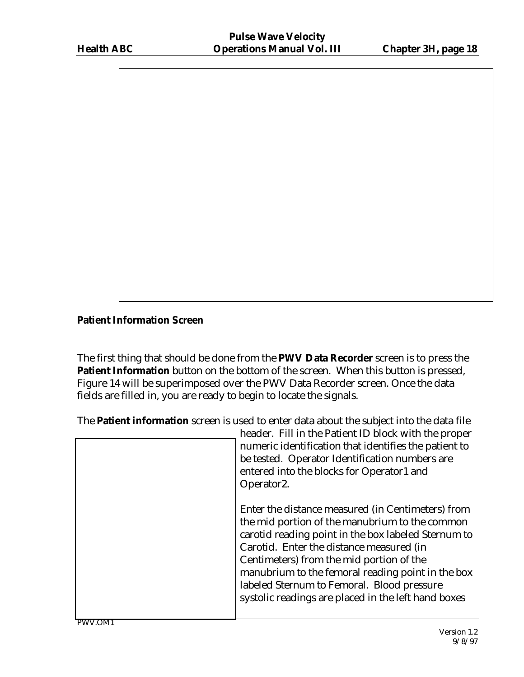

### **Patient Information Screen**

The first thing that should be done from the **PWV Data Recorder** screen is to press the **Patient Information** button on the bottom of the screen. When this button is pressed, Figure 14 will be superimposed over the PWV Data Recorder screen. Once the data fields are filled in, you are ready to begin to locate the signals.

The **Patient information** screen is used to enter data about the subject into the data file

| header. Fill in the Patient ID block with the proper<br>numeric identification that identifies the patient to<br>be tested. Operator Identification numbers are<br>entered into the blocks for Operator1 and<br>Operator <sub>2</sub> .                                                                                                                                                                      |
|--------------------------------------------------------------------------------------------------------------------------------------------------------------------------------------------------------------------------------------------------------------------------------------------------------------------------------------------------------------------------------------------------------------|
| Enter the distance measured (in Centimeters) from<br>the mid portion of the manubrium to the common<br>carotid reading point in the box labeled Sternum to<br>Carotid. Enter the distance measured (in<br>Centimeters) from the mid portion of the<br>manubrium to the femoral reading point in the box<br>labeled Sternum to Femoral. Blood pressure<br>systolic readings are placed in the left hand boxes |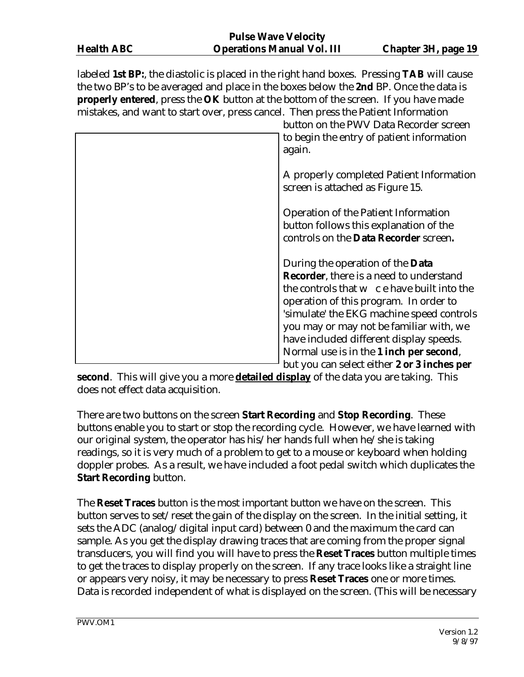labeled **1st BP:**, the diastolic is placed in the right hand boxes. Pressing **TAB** will cause the two BP's to be averaged and place in the boxes below the **2nd** BP. Once the data is **properly entered**, press the **OK** button at the bottom of the screen. If you have made mistakes, and want to start over, press cancel. Then press the Patient Information

| button on the PWV Data Recorder screen<br>to begin the entry of patient information<br>again.                                                                                                                                                                                                                                                                     |
|-------------------------------------------------------------------------------------------------------------------------------------------------------------------------------------------------------------------------------------------------------------------------------------------------------------------------------------------------------------------|
| A properly completed Patient Information<br>screen is attached as Figure 15.                                                                                                                                                                                                                                                                                      |
| <b>Operation of the Patient Information</b><br>button follows this explanation of the<br>controls on the Data Recorder screen.                                                                                                                                                                                                                                    |
| During the operation of the <b>Data</b><br><b>Recorder</b> , there is a need to understand<br>the controls that w c e have built into the<br>operation of this program. In order to<br>'simulate' the EKG machine speed controls<br>you may or may not be familiar with, we<br>have included different display speeds.<br>Normal use is in the 1 inch per second, |
| but you can select either 2 or 3 inches per                                                                                                                                                                                                                                                                                                                       |

**second**. This will give you a more **detailed display** of the data you are taking. This does not effect data acquisition.

There are two buttons on the screen **Start Recording** and **Stop Recording**. These buttons enable you to start or stop the recording cycle. However, we have learned with our original system, the operator has his/her hands full when he/she is taking readings, so it is very much of a problem to get to a mouse or keyboard when holding doppler probes. As a result, we have included a foot pedal switch which duplicates the **Start Recording** button.

The **Reset Traces** button is the most important button we have on the screen. This button serves to set/reset the gain of the display on the screen. In the initial setting, it sets the ADC (analog/digital input card) between 0 and the maximum the card can sample. As you get the display drawing traces that are coming from the proper signal transducers, you will find you will have to press the **Reset Traces** button multiple times to get the traces to display properly on the screen. If any trace looks like a straight line or appears very noisy, it may be necessary to press **Reset Traces** one or more times. Data is recorded independent of what is displayed on the screen. (This will be necessary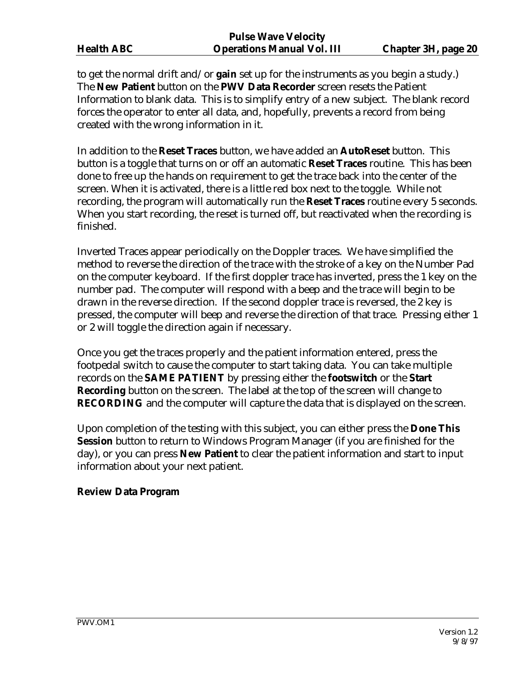to get the normal drift and/or **gain** set up for the instruments as you begin a study.) The **New Patient** button on the **PWV Data Recorder** screen resets the Patient Information to blank data. This is to simplify entry of a new subject. The blank record forces the operator to enter all data, and, hopefully, prevents a record from being created with the wrong information in it.

In addition to the **Reset Traces** button, we have added an **AutoReset** button. This button is a toggle that turns on or off an automatic **Reset Traces** routine. This has been done to free up the hands on requirement to get the trace back into the center of the screen. When it is activated, there is a little red box next to the toggle. While not recording, the program will automatically run the **Reset Traces** routine every 5 seconds. When you start recording, the reset is turned off, but reactivated when the recording is finished.

Inverted Traces appear periodically on the Doppler traces. We have simplified the method to reverse the direction of the trace with the stroke of a key on the Number Pad on the computer keyboard. If the first doppler trace has inverted, press the 1 key on the number pad. The computer will respond with a beep and the trace will begin to be drawn in the reverse direction. If the second doppler trace is reversed, the 2 key is pressed, the computer will beep and reverse the direction of that trace. Pressing either 1 or 2 will toggle the direction again if necessary.

Once you get the traces properly and the patient information entered, press the footpedal switch to cause the computer to start taking data. You can take multiple records on the **SAME PATIENT** by pressing either the **footswitch** or the **Start Recording** button on the screen. The label at the top of the screen will change to **RECORDING** and the computer will capture the data that is displayed on the screen.

Upon completion of the testing with this subject, you can either press the **Done This Session** button to return to Windows Program Manager (if you are finished for the day), or you can press **New Patient** to clear the patient information and start to input information about your next patient.

### **Review Data Program**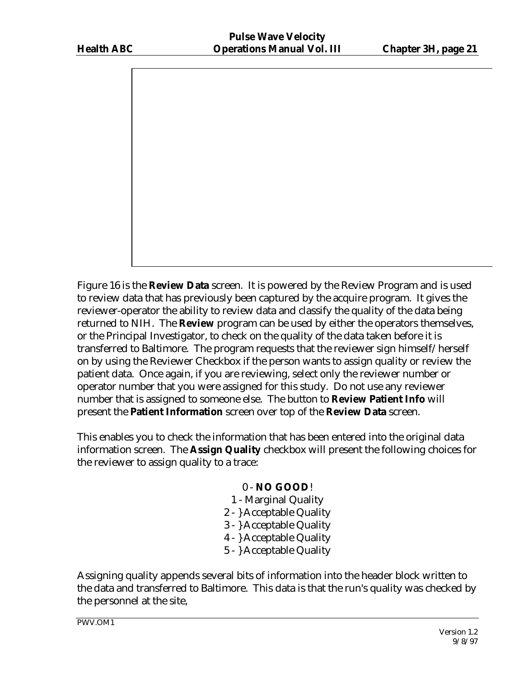

Figure 16 is the **Review Data** screen. It is powered by the Review Program and is used to review data that has previously been captured by the acquire program. It gives the reviewer-operator the ability to review data and classify the quality of the data being returned to NIH. The **Review** program can be used by either the operators themselves, or the Principal Investigator, to check on the quality of the data taken before it is transferred to Baltimore. The program requests that the reviewer sign himself/herself on by using the Reviewer Checkbox if the person wants to assign quality or review the patient data. Once again, if you are reviewing, select only the reviewer number or operator number that you were assigned for this study. Do not use any reviewer number that is assigned to someone else. The button to **Review Patient Info** will present the **Patient Information** screen over top of the **Review Data** screen.

This enables you to check the information that has been entered into the original data information screen. The **Assign Quality** checkbox will present the following choices for the reviewer to assign quality to a trace:

# 0 - **NO GOOD**!

- 1 Marginal Quality
- 2 } Acceptable Quality
- 3 } Acceptable Quality
- 4 } Acceptable Quality
- 5 } Acceptable Quality

Assigning quality appends several bits of information into the header block written to the data and transferred to Baltimore. This data is that the run's quality was checked by the personnel at the site,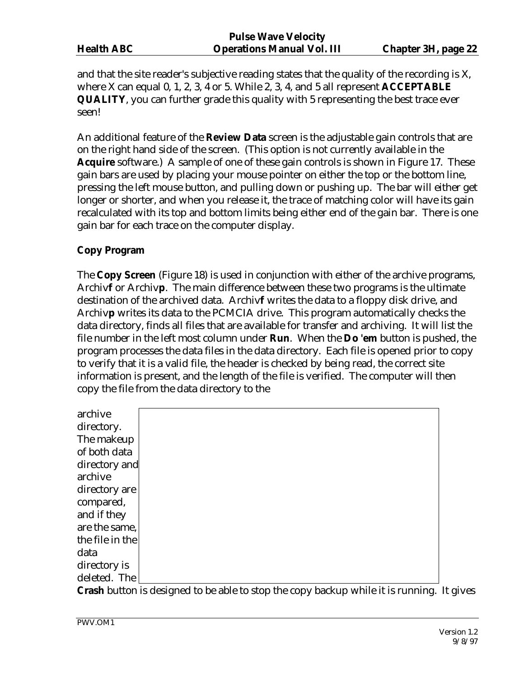and that the site reader's subjective reading states that the quality of the recording is X, where X can equal 0, 1, 2, 3, 4 or 5. While 2, 3, 4, and 5 all represent **ACCEPTABLE QUALITY**, you can further grade this quality with 5 representing the best trace ever seen!

An additional feature of the **Review Data** screen is the adjustable gain controls that are on the right hand side of the screen. (This option is not currently available in the **Acquire** software.) A sample of one of these gain controls is shown in Figure 17. These gain bars are used by placing your mouse pointer on either the top or the bottom line, pressing the left mouse button, and pulling down or pushing up. The bar will either get longer or shorter, and when you release it, the trace of matching color will have its gain recalculated with its top and bottom limits being either end of the gain bar. There is one gain bar for each trace on the computer display.

# **Copy Program**

The **Copy Screen** (Figure 18) is used in conjunction with either of the archive programs, Archiv**f** or Archiv**p**. The main difference between these two programs is the ultimate destination of the archived data. Archiv**f** writes the data to a floppy disk drive, and Archiv**p** writes its data to the PCMCIA drive. This program automatically checks the data directory, finds all files that are available for transfer and archiving. It will list the file number in the left most column under **Run**. When the **Do 'em** button is pushed, the program processes the data files in the data directory. Each file is opened prior to copy to verify that it is a valid file, the header is checked by being read, the correct site information is present, and the length of the file is verified. The computer will then copy the file from the data directory to the

| archive         |  |
|-----------------|--|
| directory.      |  |
| The makeup      |  |
| of both data    |  |
| directory and   |  |
| archive         |  |
| directory are   |  |
| compared,       |  |
| and if they     |  |
| are the same,   |  |
| the file in the |  |
| data            |  |
| directory is    |  |
| deleted. The    |  |

**Crash** button is designed to be able to stop the copy backup while it is running. It gives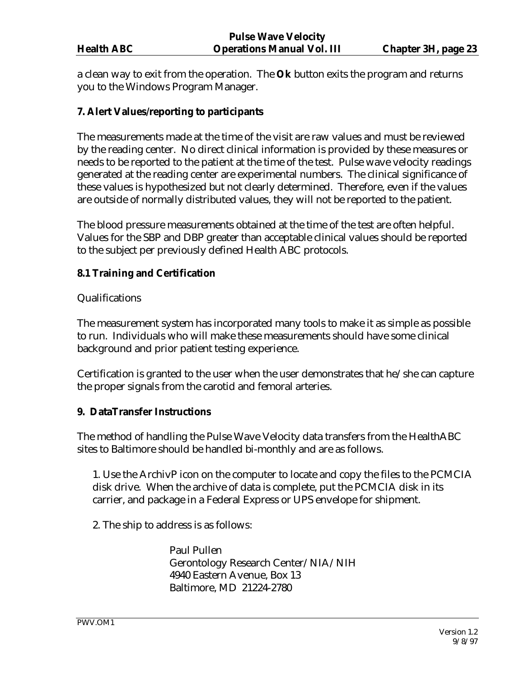a clean way to exit from the operation. The **Ok** button exits the program and returns you to the Windows Program Manager.

### **7. Alert Values/reporting to participants**

The measurements made at the time of the visit are raw values and must be reviewed by the reading center. No direct clinical information is provided by these measures or needs to be reported to the patient at the time of the test. Pulse wave velocity readings generated at the reading center are experimental numbers. The clinical significance of these values is hypothesized but not clearly determined. Therefore, even if the values are outside of normally distributed values, they will not be reported to the patient.

The blood pressure measurements obtained at the time of the test are often helpful. Values for the SBP and DBP greater than acceptable clinical values should be reported to the subject per previously defined Health ABC protocols.

### **8.1 Training and Certification**

Qualifications

The measurement system has incorporated many tools to make it as simple as possible to run. Individuals who will make these measurements should have some clinical background and prior patient testing experience.

Certification is granted to the user when the user demonstrates that he/she can capture the proper signals from the carotid and femoral arteries.

### **9. DataTransfer Instructions**

The method of handling the Pulse Wave Velocity data transfers from the HealthABC sites to Baltimore should be handled bi-monthly and are as follows.

1. Use the ArchivP icon on the computer to locate and copy the files to the PCMCIA disk drive. When the archive of data is complete, put the PCMCIA disk in its carrier, and package in a Federal Express or UPS envelope for shipment.

2. The ship to address is as follows:

Paul Pullen Gerontology Research Center/NIA/NIH 4940 Eastern Avenue, Box 13 Baltimore, MD 21224-2780